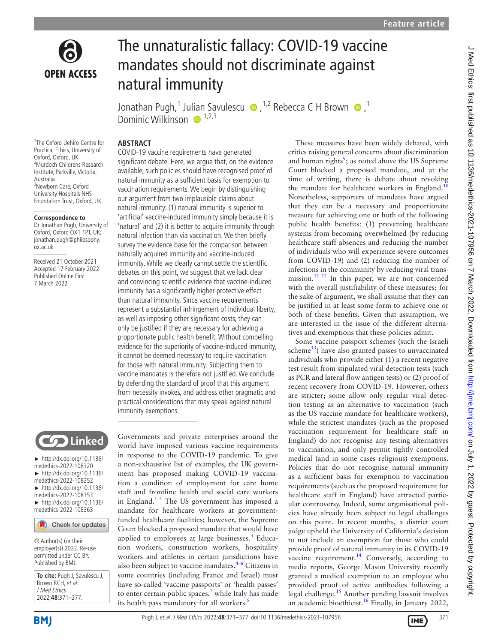

# The unnaturalistic fallacy: COVID-19 vaccine mandates should not discriminate against natural immunity

Jonathan Pugh,<sup>1</sup> Jul[ian](http://orcid.org/0000-0003-3958-8633)Savulescu  $\bullet$ ,<sup>1,2</sup> Rebecca C H Brown  $\bullet$ ,<sup>1</sup> Dominic Wilkinson  $\bullet$ <sup>1,2,3</sup>

#### **ABSTRACT**

1 The Oxford Uehiro Centre for Practical Ethics, University of Oxford, Oxford, UK 2 Murdoch Childrens Research Institute, Parkville, Victoria, Australia 3 Newborn Care, Oxford University Hospitals NHS Foundation Trust, Oxford, UK

#### **Correspondence to**

Dr Jonathan Pugh, University of Oxford, Oxford OX1 1PT, UK; jonathan.pugh@philosophy. ox.ac.uk

Received 21 October 2021 Accepted 17 February 2022 Published Online First 7 March 2022



► [http://dx.doi.org/10.1136/](http://dx.doi.org/10.1136/medethics-2022-108320) [medethics-2022-108320](http://dx.doi.org/10.1136/medethics-2022-108320) ► [http://dx.doi.org/10.1136/](http://dx.doi.org/10.1136/medethics-2022-108352) [medethics-2022-108352](http://dx.doi.org/10.1136/medethics-2022-108352) ► [http://dx.doi.org/10.1136/](http://dx.doi.org/10.1136/medethics-2022-108353) [medethics-2022-108353](http://dx.doi.org/10.1136/medethics-2022-108353) ► [http://dx.doi.org/10.1136/](http://dx.doi.org/10.1136/medethics-2022-108363) [medethics-2022-108363](http://dx.doi.org/10.1136/medethics-2022-108363)

#### Check for updates

© Author(s) (or their employer(s)) 2022. Re-use permitted under CC BY. Published by BMJ.

**To cite:** Pugh J, Savulescu J, Brown RCH, et al. J Med Ethics 2022;**48**:371–377.

significant debate. Here, we argue that, on the evidence available, such policies should have recognised proof of natural immunity as a sufficient basis for exemption to vaccination requirements. We begin by distinguishing our argument from two implausible claims about natural immunity: (1) natural immunity is superior to 'artificial' vaccine-induced immunity simply because it is 'natural' and (2) it is better to acquire immunity through natural infection than via vaccination. We then briefly survey the evidence base for the comparison between naturally acquired immunity and vaccine-induced immunity. While we clearly cannot settle the scientific debates on this point, we suggest that we lack clear and convincing scientific evidence that vaccine-induced immunity has a significantly higher protective effect than natural immunity. Since vaccine requirements represent a substantial infringement of individual liberty, as well as imposing other significant costs, they can only be justified if they are necessary for achieving a proportionate public health benefit. Without compelling evidence for the superiority of vaccine-induced immunity, it cannot be deemed necessary to require vaccination for those with natural immunity. Subjecting them to vaccine mandates is therefore not justified. We conclude by defending the standard of proof that this argument from necessity invokes, and address other pragmatic and practical considerations that may speak against natural immunity exemptions.

COVID-19 vaccine requirements have generated

Governments and private enterprises around the world have imposed various vaccine requirements in response to the COVID-19 pandemic. To give a non-exhaustive list of examples, the UK government has proposed making COVID-19 vaccination a condition of employment for care home staff and frontline health and social care workers in England.[1 2](#page-5-0) The US government has imposed a mandate for healthcare workers at governmentfunded healthcare facilities; however, the Supreme Court blocked a proposed mandate that would have applied to employees at large businesses.<sup>3</sup> Education workers, construction workers, hospitality workers and athletes in certain jurisdictions have also been subject to vaccine mandates.[4–6](#page-5-2) Citizens in some countries (including France and Israel) must have so-called 'vaccine passports' or 'health passes' to enter certain public spaces, $^7$  $^7$  while Italy has made its health pass mandatory for all workers.<sup>[8](#page-5-4)</sup>

These measures have been widely debated, with critics raising general concerns about discrimination and human rights<sup>[9](#page-5-5)</sup>; as noted above the US Supreme Court blocked a proposed mandate, and at the time of writing, there is debate about revoking the mandate for healthcare workers in England.<sup>[10](#page-5-6)</sup> Nonetheless, supporters of mandates have argued that they can be a necessary and proportionate measure for achieving one or both of the following public health benefits: (1) preventing healthcare systems from becoming overwhelmed (by reducing healthcare staff absences and reducing the number of individuals who will experience severe outcomes from COVID-19) and (2) reducing the number of infections in the community by reducing viral transmission.<sup>11 12</sup> In this paper, we are not concerned with the overall justifiability of these measures; for the sake of argument, we shall assume that they can be justified in at least some form to achieve one or both of these benefits. Given that assumption, we are interested in the issue of the different alternatives and exemptions that these policies admit.

Some vaccine passport schemes (such the Israeli scheme $^{13}$  $^{13}$  $^{13}$ ) have also granted passes to unvaccinated individuals who provide either (1) a recent negative test result from stipulated viral detection tests (such as PCR and lateral flow antigen tests) or (2) proof of recent recovery from COVID-19. However, others are stricter; some allow only regular viral detection testing as an alternative to vaccination (such as the US vaccine mandate for healthcare workers), while the strictest mandates (such as the proposed vaccination requirement for healthcare staff in England) do not recognise any testing alternatives to vaccination, and only permit tightly controlled medical (and in some cases religious) exemptions. Policies that do not recognise natural immunity as a sufficient basis for exemption to vaccination requirements (such as the proposed requirement for healthcare staff in England) have attracted particular controversy. Indeed, some organisational policies have already been subject to legal challenges on this point. In recent months, a district court judge upheld the University of California's decision to not include an exemption for those who could provide proof of natural immunity in its COVID-19 vaccine requirement.<sup>14</sup> Conversely, according to media reports, George Mason University recently granted a medical exemption to an employee who provided proof of active antibodies following a legal challenge.[15](#page-5-10) Another pending lawsuit involves an academic bioethicist[.16](#page-5-11) Finally, in January 2022,

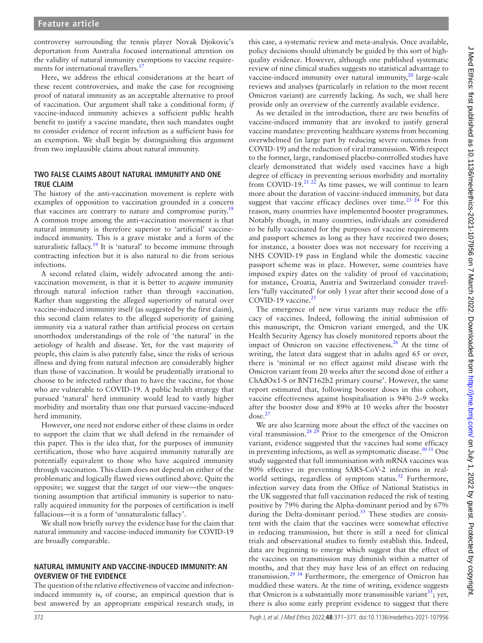controversy surrounding the tennis player Novak Djokovic's deportation from Australia focused international attention on the validity of natural immunity exemptions to vaccine requirements for international travellers.<sup>17</sup>

Here, we address the ethical considerations at the heart of these recent controversies, and make the case for recognising proof of natural immunity as an acceptable alternative to proof of vaccination. Our argument shall take a conditional form; *if* vaccine-induced immunity achieves a sufficient public health benefit to justify a vaccine mandate, then such mandates ought to consider evidence of recent infection as a sufficient basis for an exemption. We shall begin by distinguishing this argument from two implausible claims about natural immunity.

# **TWO FALSE CLAIMS ABOUT NATURAL IMMUNITY AND ONE TRUE CLAIM**

The history of the anti-vaccination movement is replete with examples of opposition to vaccination grounded in a concern that vaccines are contrary to nature and compromise purity.<sup>[18](#page-5-13)</sup> A common trope among the anti-vaccination movement is that natural immunity is therefore superior to 'artificial' vaccineinduced immunity. This is a grave mistake and a form of the naturalistic fallacy.<sup>19</sup> It is 'natural' to become immune through contracting infection but it is also natural to die from serious infections.

A second related claim, widely advocated among the antivaccination movement, is that it is better to *acquire* immunity through natural infection rather than through vaccination. Rather than suggesting the alleged superiority of natural over vaccine-induced immunity itself (as suggested by the first claim), this second claim relates to the alleged superiority of gaining immunity via a natural rather than artificial process on certain unorthodox understandings of the role of 'the natural' in the aetiology of health and disease. Yet, for the vast majority of people, this claim is also patently false, since the risks of serious illness and dying from natural infection are considerably higher than those of vaccination. It would be prudentially irrational to choose to be infected rather than to have the vaccine, for those who are vulnerable to COVID-19. A public health strategy that pursued 'natural' herd immunity would lead to vastly higher morbidity and mortality than one that pursued vaccine-induced herd immunity.

However, one need not endorse either of these claims in order to support the claim that we shall defend in the remainder of this paper. This is the idea that, for the purposes of immunity certification, those who have acquired immunity naturally are potentially equivalent to those who have acquired immunity through vaccination. This claim does not depend on either of the problematic and logically flawed views outlined above. Quite the opposite; we suggest that the target of our view—the unquestioning assumption that artificial immunity is superior to naturally acquired immunity for the purposes of certification is itself fallacious—it is a form of 'unnaturalistic fallacy'.

We shall now briefly survey the evidence base for the claim that natural immunity and vaccine-induced immunity for COVID-19 are broadly comparable.

## **NATURAL IMMUNITY AND VACCINE-INDUCED IMMUNITY: AN OVERVIEW OF THE EVIDENCE**

The question of the relative effectiveness of vaccine and infectioninduced immunity is, of course, an empirical question that is best answered by an appropriate empirical research study, in

this case, a systematic review and meta-analysis. Once available, policy decisions should ultimately be guided by this sort of highquality evidence. However, although one published systematic review of nine clinical studies suggests no statistical advantage to vaccine-induced immunity over natural immunity,<sup>20</sup> large-scale reviews and analyses (particularly in relation to the most recent Omicron variant) are currently lacking. As such, we shall here provide only an overview of the currently available evidence.

As we detailed in the introduction, there are two benefits of vaccine-induced immunity that are invoked to justify general vaccine mandates: preventing healthcare systems from becoming overwhelmed (in large part by reducing severe outcomes from COVID-19) and the reduction of viral transmission. With respect to the former, large, randomised placebo-controlled studies have clearly demonstrated that widely used vaccines have a high degree of efficacy in preventing serious morbidity and mortality from COVID-19. $21\frac{21}{22}$  As time passes, we will continue to learn more about the duration of vaccine-induced immunity, but data suggest that vaccine efficacy declines over time.<sup>23</sup>  $^{24}$  For this reason, many countries have implemented booster programmes. Notably though, in many countries, individuals are considered to be fully vaccinated for the purposes of vaccine requirements and passport schemes as long as they have received two doses; for instance, a booster does was not necessary for receiving a NHS COVID-19 pass in England while the domestic vaccine passport scheme was in place. However, some countries have imposed expiry dates on the validity of proof of vaccination; for instance, Croatia, Austria and Switzerland consider travellers 'fully vaccinated' for only 1year after their second dose of a COVID-19 vaccine.<sup>25</sup>

The emergence of new virus variants may reduce the efficacy of vaccines. Indeed, following the initial submission of this manuscript, the Omicron variant emerged, and the UK Health Security Agency has closely monitored reports about the impact of Omicron on vaccine effectiveness. $26$  At the time of writing, the latest data suggest that in adults aged 65 or over, there is 'minimal or no effect against mild disease with the Omicron variant from 20 weeks after the second dose of either a ChAdOx1-S or BNT162b2 primary course'. However, the same report estimated that, following booster doses in this cohort, vaccine effectiveness against hospitalisation is 94% 2–9 weeks after the booster dose and 89% at 10 weeks after the booster  $dose.<sup>27</sup>$  $dose.<sup>27</sup>$  $dose.<sup>27</sup>$ 

We are also learning more about the effect of the vaccines on viral transmission.<sup>28</sup> <sup>29</sup> Prior to the emergence of the Omicron variant, evidence suggested that the vaccines had some efficacy in preventing infections, as well as symptomatic disease.<sup>30 31</sup> One study suggested that full immunisation with mRNA vaccines was 90% effective in preventing SARS-CoV-2 infections in real-world settings, regardless of symptom status.<sup>[32](#page-5-23)</sup> Furthermore, infection survey data from the Office of National Statistics in the UK suggested that full vaccination reduced the risk of testing positive by 79% during the Alpha-dominant period and by 67% during the Delta-dominant period.<sup>[33](#page-5-24)</sup> These studies are consistent with the claim that the vaccines were somewhat effective in reducing transmission, but there is still a need for clinical trials and observational studies to firmly establish this. Indeed, data are beginning to emerge which suggest that the effect of the vaccines on transmission may diminish within a matter of months, and that they may have less of an effect on reducing transmission.<sup>[29 34](#page-5-25)</sup> Furthermore, the emergence of Omicron has muddied these waters. At the time of writing, evidence suggests that Omicron is a substantially more transmissible variant<sup>35</sup>; yet, there is also some early preprint evidence to suggest that there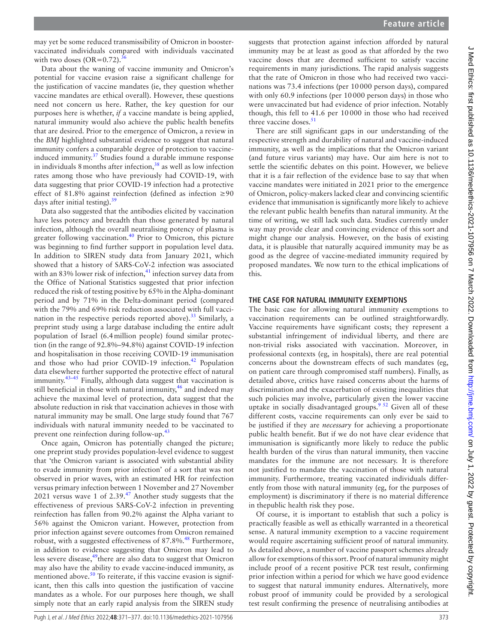may yet be some reduced transmissibility of Omicron in boostervaccinated individuals compared with individuals vaccinated with two doses  $(OR=0.72)$ .<sup>3</sup>

Data about the waning of vaccine immunity and Omicron's potential for vaccine evasion raise a significant challenge for the justification of vaccine mandates (ie, they question whether vaccine mandates are ethical overall). However, these questions need not concern us here. Rather, the key question for our purposes here is whether, *if* a vaccine mandate is being applied, natural immunity would also achieve the public health benefits that are desired. Prior to the emergence of Omicron, a review in the *BMJ* highlighted substantial evidence to suggest that natural immunity confers a comparable degree of protection to vaccine-induced immunity.<sup>[37](#page-5-28)</sup> Studies found a durable immune response in individuals 8 months after infection,  $38$  as well as low infection rates among those who have previously had COVID-19, with data suggesting that prior COVID-19 infection had a protective effect of 81.8% against reinfection (defined as infection  $\geq 90$ days after initial testing). $39$ 

Data also suggested that the antibodies elicited by vaccination have less potency and breadth than those generated by natural infection, although the overall neutralising potency of plasma is greater following vaccination. $40$  Prior to Omicron, this picture was beginning to find further support in population level data. In addition to SIREN study data from January 2021, which showed that a history of SARS-CoV-2 infection was associated with an 83% lower risk of infection,<sup>41</sup> infection survey data from the Office of National Statistics suggested that prior infection reduced the risk of testing positive by 65% in the Alpha-dominant period and by 71% in the Delta-dominant period (compared with the 79% and 69% risk reduction associated with full vaccination in the respective periods reported above).<sup>33</sup> Similarly, a preprint study using a large database including the entire adult population of Israel (6.4million people) found similar protection (in the range of 92.8%–94.8%) against COVID-19 infection and hospitalisation in those receiving COVID-19 immunisation and those who had prior COVID-19 infection.<sup>42</sup> Population data elsewhere further supported the protective effect of natural immunity.[43–45](#page-6-2) Finally, although data suggest that vaccination is still beneficial in those with natural immunity, $46$  and indeed may achieve the maximal level of protection, data suggest that the absolute reduction in risk that vaccination achieves in those with natural immunity may be small. One large study found that 767 individuals with natural immunity needed to be vaccinated to prevent one reinfection during follow-up.<sup>[43](#page-6-2)</sup>

Once again, Omicron has potentially changed the picture; one preprint study provides population-level evidence to suggest that 'the Omicron variant is associated with substantial ability to evade immunity from prior infection' of a sort that was not observed in prior waves, with an estimated HR for reinfection versus primary infection between 1 November and 27 November 2021 versus wave 1 of 2.39. $47$  Another study suggests that the effectiveness of previous SARS-CoV-2 infection in preventing reinfection has fallen from 90.2% against the Alpha variant to 56% against the Omicron variant. However, protection from prior infection against severe outcomes from Omicron remained robust, with a suggested effectiveness of 87.8%.<sup>[48](#page-6-5)</sup> Furthermore, in addition to evidence suggesting that Omicron may lead to less severe disease, $49$ there are also data to suggest that Omicron may also have the ability to evade vaccine-induced immunity, as mentioned above.<sup>50</sup> To reiterate, if this vaccine evasion is significant, then this calls into question the justification of vaccine mandates as a whole. For our purposes here though, we shall simply note that an early rapid analysis from the SIREN study

suggests that protection against infection afforded by natural immunity may be at least as good as that afforded by the two vaccine doses that are deemed sufficient to satisfy vaccine requirements in many jurisdictions. The rapid analysis suggests that the rate of Omicron in those who had received two vaccinations was 73.4 infections (per 10000 person days), compared with only 60.9 infections (per 10000 person days) in those who were unvaccinated but had evidence of prior infection. Notably though, this fell to 41.6 per 10000 in those who had received three vaccine doses.<sup>51</sup>

There are still significant gaps in our understanding of the respective strength and durability of natural and vaccine-induced immunity, as well as the implications that the Omicron variant (and future virus variants) may have. Our aim here is not to settle the scientific debates on this point. However, we believe that it is a fair reflection of the evidence base to say that when vaccine mandates were initiated in 2021 prior to the emergence of Omicron, policy-makers lacked clear and convincing scientific evidence that immunisation is significantly more likely to achieve the relevant public health benefits than natural immunity. At the time of writing, we still lack such data. Studies currently under way may provide clear and convincing evidence of this sort and might change our analysis. However, on the basis of existing data, it is plausible that naturally acquired immunity may be as good as the degree of vaccine-mediated immunity required by proposed mandates. We now turn to the ethical implications of this.

### **THE CASE FOR NATURAL IMMUNITY EXEMPTIONS**

The basic case for allowing natural immunity exemptions to vaccination requirements can be outlined straightforwardly. Vaccine requirements have significant costs; they represent a substantial infringement of individual liberty, and there are non-trivial risks associated with vaccination. Moreover, in professional contexts (eg, in hospitals), there are real potential concerns about the downstream effects of such mandates (eg, on patient care through compromised staff numbers). Finally, as detailed above, critics have raised concerns about the harms of discrimination and the exacerbation of existing inequalities that such policies may involve, particularly given the lower vaccine uptake in socially disadvantaged groups.<sup>9 52</sup> Given all of these different costs, vaccine requirements can only ever be said to be justified if they are *necessary* for achieving a proportionate public health benefit. But if we do not have clear evidence that immunisation is significantly more likely to reduce the public health burden of the virus than natural immunity, then vaccine mandates for the immune are not necessary. It is therefore not justified to mandate the vaccination of those with natural immunity. Furthermore, treating vaccinated individuals differently from those with natural immunity (eg, for the purposes of employment) is discriminatory if there is no material difference in thepublic health risk they pose.

Of course, it is important to establish that such a policy is practically feasible as well as ethically warranted in a theoretical sense. A natural immunity exemption to a vaccine requirement would require ascertaining sufficient proof of natural immunity. As detailed above, a number of vaccine passport schemes already allow for exemptions of this sort. Proof of natural immunity might include proof of a recent positive PCR test result, confirming prior infection within a period for which we have good evidence to suggest that natural immunity endures. Alternatively, more robust proof of immunity could be provided by a serological test result confirming the presence of neutralising antibodies at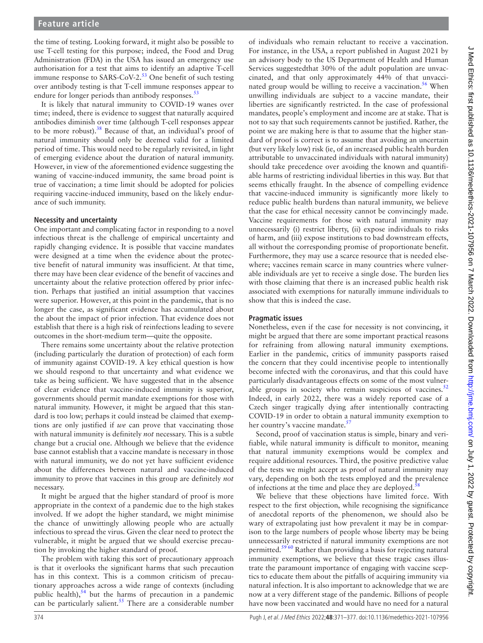the time of testing. Looking forward, it might also be possible to use T-cell testing for this purpose; indeed, the Food and Drug Administration (FDA) in the USA has issued an emergency use authorisation for a test that aims to identify an adaptive T-cell immune response to SARS-CoV-2.<sup>[53](#page-6-9)</sup> One benefit of such testing over antibody testing is that T-cell immune responses appear to endure for longer periods than antibody responses.<sup>[53](#page-6-9)</sup>

It is likely that natural immunity to COVID-19 wanes over time; indeed, there is evidence to suggest that naturally acquired antibodies diminish over time (although T-cell responses appear to be more robust). $38$  Because of that, an individual's proof of natural immunity should only be deemed valid for a limited period of time. This would need to be regularly revisited, in light of emerging evidence about the duration of natural immunity. However, in view of the aforementioned evidence suggesting the waning of vaccine-induced immunity, the same broad point is true of vaccination; a time limit should be adopted for policies requiring vaccine-induced immunity, based on the likely endurance of such immunity.

#### **Necessity and uncertainty**

One important and complicating factor in responding to a novel infectious threat is the challenge of empirical uncertainty and rapidly changing evidence. It is possible that vaccine mandates were designed at a time when the evidence about the protective benefit of natural immunity was insufficient. At that time, there may have been clear evidence of the benefit of vaccines and uncertainty about the relative protection offered by prior infection. Perhaps that justified an initial assumption that vaccines were superior. However, at this point in the pandemic, that is no longer the case, as significant evidence has accumulated about the about the impact of prior infection. That evidence does not establish that there is a high risk of reinfections leading to severe outcomes in the short-medium term—quite the opposite.

There remains some uncertainty about the relative protection (including particularly the duration of protection) of each form of immunity against COVID-19. A key ethical question is how we should respond to that uncertainty and what evidence we take as being sufficient. We have suggested that in the absence of clear evidence that vaccine-induced immunity is superior, governments should permit mandate exemptions for those with natural immunity. However, it might be argued that this standard is too low; perhaps it could instead be claimed that exemptions are only justified if *we* can prove that vaccinating those with natural immunity is definitely *not* necessary. This is a subtle change but a crucial one. Although we believe that the evidence base cannot establish that a vaccine mandate is necessary in those with natural immunity, we do not yet have sufficient evidence about the differences between natural and vaccine-induced immunity to prove that vaccines in this group are definitely *not* necessary.

It might be argued that the higher standard of proof is more appropriate in the context of a pandemic due to the high stakes involved. If we adopt the higher standard, we might minimise the chance of unwittingly allowing people who are actually infectious to spread the virus. Given the clear need to protect the vulnerable, it might be argued that we should exercise precaution by invoking the higher standard of proof.

The problem with taking this sort of precautionary approach is that it overlooks the significant harms that such precaution has in this context. This is a common criticism of precautionary approaches across a wide range of contexts (including public health), $54$  but the harms of precaution in a pandemic can be particularly salient.<sup>[55](#page-6-11)</sup> There are a considerable number

of individuals who remain reluctant to receive a vaccination. For instance, in the USA, a report published in August 2021 by an advisory body to the US Department of Health and Human Services suggestedthat 30% of the adult population are unvaccinated, and that only approximately 44% of that unvaccinated group would be willing to receive a vaccination.<sup>56</sup> When unwilling individuals are subject to a vaccine mandate, their liberties are significantly restricted. In the case of professional mandates, people's employment and income are at stake. That is not to say that such requirements cannot be justified. Rather, the point we are making here is that to assume that the higher standard of proof is correct is to assume that avoiding an uncertain (but very likely low) risk (ie, of an increased public health burden attributable to unvaccinated individuals with natural immunity) should take precedence over avoiding the known and quantifiable harms of restricting individual liberties in this way. But that seems ethically fraught. In the absence of compelling evidence that vaccine-induced immunity is significantly more likely to reduce public health burdens than natural immunity, we believe that the case for ethical necessity cannot be convincingly made. Vaccine requirements for those with natural immunity may unnecessarily (i) restrict liberty, (ii) expose individuals to risks of harm, and (iii) expose institutions to bad downstream effects, all without the corresponding promise of proportionate benefit. Furthermore, they may use a scarce resource that is needed elsewhere; vaccines remain scarce in many countries where vulnerable individuals are yet to receive a single dose. The burden lies with those claiming that there is an increased public health risk associated with exemptions for naturally immune individuals to show that this is indeed the case.

### **Pragmatic issues**

Nonetheless, even if the case for necessity is not convincing, it might be argued that there are some important practical reasons for refraining from allowing natural immunity exemptions. Earlier in the pandemic, critics of immunity passports raised the concern that they could incentivise people to intentionally become infected with the coronavirus, and that this could have particularly disadvantageous effects on some of the most vulner-able groups in society who remain suspicious of vaccines.<sup>[52](#page-6-13)</sup> Indeed, in early 2022, there was a widely reported case of a Czech singer tragically dying after intentionally contracting COVID-19 in order to obtain a natural immunity exemption to her country's vaccine mandate.<sup>[57](#page-6-14)</sup>

Second, proof of vaccination status is simple, binary and verifiable, while natural immunity is difficult to monitor, meaning that natural immunity exemptions would be complex and require additional resources. Third, the positive predictive value of the tests we might accept as proof of natural immunity may vary, depending on both the tests employed and the prevalence of infections at the time and place they are deployed.<sup>[58](#page-6-15)</sup>

We believe that these objections have limited force. With respect to the first objection, while recognising the significance of anecdotal reports of the phenomenon, we should also be wary of extrapolating just how prevalent it may be in comparison to the large numbers of people whose liberty may be being unnecessarily restricted if natural immunity exemptions are not permitted.<sup>5960</sup> Rather than providing a basis for rejecting natural immunity exemptions, we believe that these tragic cases illustrate the paramount importance of engaging with vaccine sceptics to educate them about the pitfalls of acquiring immunity via natural infection. It is also important to acknowledge that we are now at a very different stage of the pandemic. Billions of people have now been vaccinated and would have no need for a natural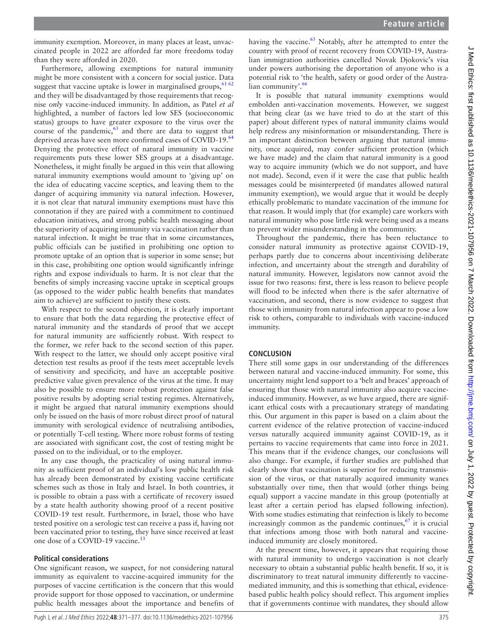immunity exemption. Moreover, in many places at least, unvaccinated people in 2022 are afforded far more freedoms today than they were afforded in 2020.

Furthermore, allowing exemptions for natural immunity might be more consistent with a concern for social justice. Data suggest that vaccine uptake is lower in marginalised groups,  $61 62$ and they will be disadvantaged by those requirements that recognise *only* vaccine-induced immunity. In addition, as Patel *et al* highlighted, a number of factors led low SES (socioeconomic status) groups to have greater exposure to the virus over the course of the pandemic,  $63$  and there are data to suggest that deprived areas have seen more confirmed cases of COVID-19.<sup>[64](#page-6-19)</sup> Denying the protective effect of natural immunity in vaccine requirements puts these lower SES groups at a disadvantage. Nonetheless, it might finally be argued in this vein that allowing natural immunity exemptions would amount to 'giving up' on the idea of educating vaccine sceptics, and leaving them to the danger of acquiring immunity via natural infection. However, it is not clear that natural immunity exemptions must have this connotation if they are paired with a commitment to continued education initiatives, and strong public health messaging about the superiority of acquiring immunity via vaccination rather than natural infection. It might be true that in some circumstances, public officials can be justified in prohibiting one option to promote uptake of an option that is superior in some sense; but in this case, prohibiting one option would significantly infringe rights and expose individuals to harm. It is not clear that the benefits of simply increasing vaccine uptake in sceptical groups (as opposed to the wider public health benefits that mandates aim to achieve) are sufficient to justify these costs.

With respect to the second objection, it is clearly important to ensure that both the data regarding the protective effect of natural immunity and the standards of proof that we accept for natural immunity are sufficiently robust. With respect to the former, we refer back to the second section of this paper. With respect to the latter, we should only accept positive viral detection test results as proof if the tests meet acceptable levels of sensitivity and specificity, and have an acceptable positive predictive value given prevalence of the virus at the time. It may also be possible to ensure more robust protection against false positive results by adopting serial testing regimes. Alternatively, it might be argued that natural immunity exemptions should only be issued on the basis of more robust direct proof of natural immunity with serological evidence of neutralising antibodies, or potentially T-cell testing. Where more robust forms of testing are associated with significant cost, the cost of testing might be passed on to the individual, or to the employer.

In any case though, the practicality of using natural immunity as sufficient proof of an individual's low public health risk has already been demonstrated by existing vaccine certificate schemes such as those in Italy and Israel. In both countries, it is possible to obtain a pass with a certificate of recovery issued by a state health authority showing proof of a recent positive COVID-19 test result. Furthermore, in Israel, those who have tested positive on a serologic test can receive a pass if, having not been vaccinated prior to testing, they have since received at least one dose of a COVID-19 vaccine.<sup>13</sup>

### **Political considerations**

One significant reason, we suspect, for not considering natural immunity as equivalent to vaccine-acquired immunity for the purposes of vaccine certification is the concern that this would provide support for those opposed to vaccination, or undermine public health messages about the importance and benefits of having the vaccine.<sup>[65](#page-6-20)</sup> Notably, after he attempted to enter the country with proof of recent recovery from COVID-19, Australian immigration authorities cancelled Novak Djokovic's visa under powers authorising the deportation of anyone who is a potential risk to 'the health, safety or good order of the Austra-lian community'.<sup>[66](#page-6-21)</sup>

It is possible that natural immunity exemptions would embolden anti-vaccination movements. However, we suggest that being clear (as we have tried to do at the start of this paper) about different types of natural immunity claims would help redress any misinformation or misunderstanding. There is an important distinction between arguing that natural immunity, once acquired, may confer sufficient protection (which we have made) and the claim that natural immunity is a good way to acquire immunity (which we do not support, and have not made). Second, even if it were the case that public health messages could be misinterpreted (if mandates allowed natural immunity exemption), we would argue that it would be deeply ethically problematic to mandate vaccination of the immune for that reason. It would imply that (for example) care workers with natural immunity who pose little risk were being used as a means to prevent wider misunderstanding in the community.

Throughout the pandemic, there has been reluctance to consider natural immunity as protective against COVID-19, perhaps partly due to concerns about incentivising deliberate infection, and uncertainty about the strength and durability of natural immunity. However, legislators now cannot avoid the issue for two reasons: first, there is less reason to believe people will flood to be infected when there is the safer alternative of vaccination, and second, there is now evidence to suggest that those with immunity from natural infection appear to pose a low risk to others, comparable to individuals with vaccine-induced immunity.

### **CONCLUSION**

There still some gaps in our understanding of the differences between natural and vaccine-induced immunity. For some, this uncertainty might lend support to a 'belt and braces' approach of ensuring that those with natural immunity also acquire vaccineinduced immunity. However, as we have argued, there are significant ethical costs with a precautionary strategy of mandating this. Our argument in this paper is based on a claim about the current evidence of the relative protection of vaccine-induced versus naturally acquired immunity against COVID-19, as it pertains to vaccine requirements that came into force in 2021. This means that if the evidence changes, our conclusions will also change. For example, if further studies are published that clearly show that vaccination is superior for reducing transmission of the virus, or that naturally acquired immunity wanes substantially over time, then that would (other things being equal) support a vaccine mandate in this group (potentially at least after a certain period has elapsed following infection). With some studies estimating that reinfection is likely to become increasingly common as the pandemic continues, $67$  it is crucial that infections among those with both natural and vaccineinduced immunity are closely monitored.

At the present time, however, it appears that requiring those with natural immunity to undergo vaccination is not clearly necessary to obtain a substantial public health benefit. If so, it is discriminatory to treat natural immunity differently to vaccinemediated immunity, and this is something that ethical, evidencebased public health policy should reflect. This argument implies that if governments continue with mandates, they should allow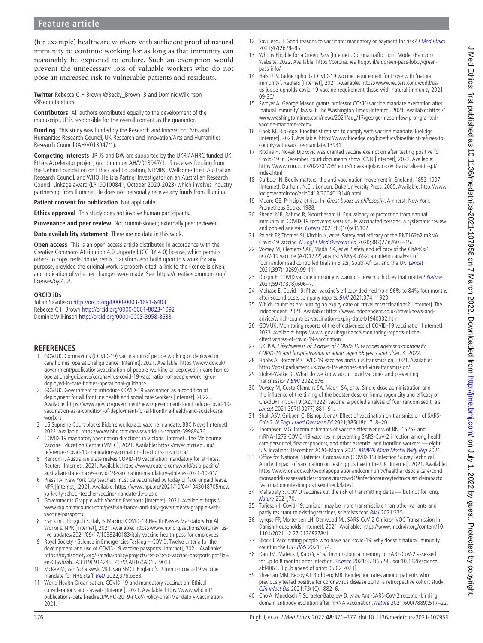# **Feature article**

(for example) healthcare workers with sufficient proof of natural immunity to continue working for as long as that immunity can reasonably be expected to endure. Such an exemption would prevent the unnecessary loss of valuable workers who do not pose an increased risk to vulnerable patients and residents.

**Twitter** Rebecca C H Brown [@Becky\\_Brown13](https://twitter.com/Becky_Brown13) and Dominic Wilkinson [@Neonatalethics](https://twitter.com/Neonatalethics)

**Contributors** All authors contributed equally to the development of the manuscript. JP is responsible for the overall content as the guarantor.

**Funding** This study was funded by the Research and Innovation, Arts and Humanities Research Council, UK Research and Innovation/Arts and Humanities Research Council (AH/V013947/1).

**Competing interests** JP, JS and DW are supported by the UKRI/ AHRC funded UK Ethics Accelerator project, grant number AH/V013947/1. JS receives funding from the Uehiro Foundation on Ethics and Education, NHMRC, Wellcome Trust, Australian Research Council, and WHO. He is a Partner Investigator on an Australian Research Council Linkage award (LP190100841, October 2020-2023) which involves industry partnership from Illumina. He does not personally receive any funds from Illumina.

**Patient consent for publication** Not applicable.

**Ethics approval** This study does not involve human participants.

**Provenance and peer review** Not commissioned; externally peer reviewed.

**Data availability statement** There are no data in this work.

**Open access** This is an open access article distributed in accordance with the Creative Commons Attribution 4.0 Unported (CC BY 4.0) license, which permits others to copy, redistribute, remix, transform and build upon this work for any purpose, provided the original work is properly cited, a link to the licence is given, and indication of whether changes were made. See: [https://creativecommons.org/](https://creativecommons.org/licenses/by/4.0/) [licenses/by/4.0/.](https://creativecommons.org/licenses/by/4.0/)

#### **ORCID iDs**

Julian Savulescu <http://orcid.org/0000-0003-1691-6403> Rebecca C H Brown<http://orcid.org/0000-0001-8023-1092> Dominic Wilkinson<http://orcid.org/0000-0003-3958-8633>

#### **REFERENCES**

- <span id="page-5-0"></span>1 GOV.UK. Coronavirus (COVID-19) vaccination of people working or deployed in care homes: operational guidance [Internet], 2021. Available: [https://www.gov.uk/](https://www.gov.uk/government/publications/vaccination-of-people-working-or-deployed-in-care-homes-operational-guidance/coronavirus-covid-19-vaccination-of-people-working-or-deployed-in-care-homes-operational-guidance) [government/publications/vaccination-of-people-working-or-deployed-in-care-homes](https://www.gov.uk/government/publications/vaccination-of-people-working-or-deployed-in-care-homes-operational-guidance/coronavirus-covid-19-vaccination-of-people-working-or-deployed-in-care-homes-operational-guidance)[operational-guidance/coronavirus-covid-19-vaccination-of-people-working-or](https://www.gov.uk/government/publications/vaccination-of-people-working-or-deployed-in-care-homes-operational-guidance/coronavirus-covid-19-vaccination-of-people-working-or-deployed-in-care-homes-operational-guidance)[deployed-in-care-homes-operational-guidance](https://www.gov.uk/government/publications/vaccination-of-people-working-or-deployed-in-care-homes-operational-guidance/coronavirus-covid-19-vaccination-of-people-working-or-deployed-in-care-homes-operational-guidance)
- 2 GOV.UK. Government to introduce COVID-19 vaccination as a condition of deployment for all frontline health and social care workers [Internet], 2022. Available: [https://www.gov.uk/government/news/government-to-introduce-covid-19](https://www.gov.uk/government/news/government-to-introduce-covid-19-vaccination-as-a-condition-of-deployment-for-all-frontline-health-and-social-care-workers) [vaccination-as-a-condition-of-deployment-for-all-frontline-health-and-social-care](https://www.gov.uk/government/news/government-to-introduce-covid-19-vaccination-as-a-condition-of-deployment-for-all-frontline-health-and-social-care-workers)[workers](https://www.gov.uk/government/news/government-to-introduce-covid-19-vaccination-as-a-condition-of-deployment-for-all-frontline-health-and-social-care-workers)
- <span id="page-5-1"></span>3 US Supreme Court blocks Biden's workplace vaccine mandate. BBC News [Internet], 2022. Available:<https://www.bbc.com/news/world-us-canada-59989476>
- <span id="page-5-2"></span>4 COVID-19 mandatory vaccination directions in Victoria [Internet]. The Melbourne Vaccine Education Centre (MVEC), 2021. Available: [https://mvec.mcri.edu.au/](https://mvec.mcri.edu.au/references/covid-19-mandatory-vaccination-directions-in-victoria/) [references/covid-19-mandatory-vaccination-directions-in-victoria/](https://mvec.mcri.edu.au/references/covid-19-mandatory-vaccination-directions-in-victoria/)
- 5 Ransom I. Australian state makes COVID-19 vaccination mandatory for athletes. Reuters [Internet], 2021. Available: [https://www.reuters.com/world/asia-pacific/](https://www.reuters.com/world/asia-pacific/australian-state-makes-covid-19-vaccination-mandatory-athletes-2021-10-01/) [australian-state-makes-covid-19-vaccination-mandatory-athletes-2021-10-01/](https://www.reuters.com/world/asia-pacific/australian-state-makes-covid-19-vaccination-mandatory-athletes-2021-10-01/)
- 6 Press TA. New York City teachers must be vaccinated by today or face unpaid leave. NPR [Internet], 2021. Available: [https://www.npr.org/2021/10/04/1043018705/new](https://www.npr.org/2021/10/04/1043018705/new-york-city-school-teacher-vaccine-mandate-de-blasio)[york-city-school-teacher-vaccine-mandate-de-blasio](https://www.npr.org/2021/10/04/1043018705/new-york-city-school-teacher-vaccine-mandate-de-blasio)
- <span id="page-5-3"></span>7 Governments Grapple with Vaccine Passports [Internet], 2021. Available: [https://](https://www.diplomaticourier.com/posts/in-france-and-italy-governments-grapple-with-vaccine-passports) [www.diplomaticourier.com/posts/in-france-and-italy-governments-grapple-with](https://www.diplomaticourier.com/posts/in-france-and-italy-governments-grapple-with-vaccine-passports)[vaccine-passports](https://www.diplomaticourier.com/posts/in-france-and-italy-governments-grapple-with-vaccine-passports)
- <span id="page-5-4"></span>8 Franklin J, Poggioli S. Italy Is Making COVID-19 Health Passes Mandatory For All Workers. NPR [Internet], 2021. Available: [https://www.npr.org/sections/coronavirus](https://www.npr.org/sections/coronavirus-live-updates/2021/09/17/1038240183/italy-vaccine-health-pass-for-employees)[live-updates/2021/09/17/1038240183/italy-vaccine-health-pass-for-employees](https://www.npr.org/sections/coronavirus-live-updates/2021/09/17/1038240183/italy-vaccine-health-pass-for-employees)
- <span id="page-5-5"></span>9 Royal Society - Science in Emergencies Tasking – COVID. Twelve criteria for the development and use of COVID-19 vaccine passports [Internet], 2021. Available: [https://royalsociety.org/-/media/policy/projects/set-c/set-c-vaccine-passports.pdf?la=](https://royalsociety.org/-/media/policy/projects/set-c/set-c-vaccine-passports.pdf?la=en-GB&hash=A3319C914245F73795AB163AD15E9021) [en-GB&hash=A3319C914245F73795AB163AD15E9021](https://royalsociety.org/-/media/policy/projects/set-c/set-c-vaccine-passports.pdf?la=en-GB&hash=A3319C914245F73795AB163AD15E9021)
- <span id="page-5-6"></span>10 McKee M, van Schalkwyk MCI, van SMCI. England's U turn on covid-19 vaccine mandate for NHS staff. **[BMJ](http://dx.doi.org/10.1136/bmj.o353)** 2022;376:o353.
- <span id="page-5-7"></span>11 World Health Organisation. COVID-19 and mandatory vaccination: Ethical considerations and caveats [Internet], 2021. Available: [https://www.who.int/](https://www.who.int/publications-detail-redirect/WHO-2019-nCoV-Policy-brief-Mandatory-vaccination-2021.1) [publications-detail-redirect/WHO-2019-nCoV-Policy-brief-Mandatory-vaccination-](https://www.who.int/publications-detail-redirect/WHO-2019-nCoV-Policy-brief-Mandatory-vaccination-2021.1)[2021.1](https://www.who.int/publications-detail-redirect/WHO-2019-nCoV-Policy-brief-Mandatory-vaccination-2021.1)
- 12 Savulescu J. Good reasons to vaccinate: mandatory or payment for risk? *[J Med Ethics](http://dx.doi.org/10.1136/medethics-2020-106821)* 2021;47(2):78–85.
- <span id="page-5-8"></span>13 Who is Eligible for a Green Pass [Internet]. Corona Traffic Light Model (Ramzor) Website, 2022. Available: [https://corona.health.gov.il/en/green-pass-lobby/green](https://corona.health.gov.il/en/green-pass-lobby/green-pass-info/)[pass-info/](https://corona.health.gov.il/en/green-pass-lobby/green-pass-info/)
- <span id="page-5-9"></span>14 Hals TUS. Judge upholds COVID-19 vaccine requirement for those with 'natural immunity'. Reuters [Internet], 2021. Available: [https://www.reuters.com/world/us/](https://www.reuters.com/world/us/us-judge-upholds-covid-19-vaccine-requirement-those-with-natural-immunity-2021-09-30/) [us-judge-upholds-covid-19-vaccine-requirement-those-with-natural-immunity-2021-](https://www.reuters.com/world/us/us-judge-upholds-covid-19-vaccine-requirement-those-with-natural-immunity-2021-09-30/) [09-30/](https://www.reuters.com/world/us/us-judge-upholds-covid-19-vaccine-requirement-those-with-natural-immunity-2021-09-30/)
- <span id="page-5-10"></span>15 Swoyer A. George Mason grants professor COVID vaccine mandate exemption after 'natural immunity' lawsuit. The Washington Times [Internet], 2021. Available: [https://](https://www.washingtontimes.com/news/2021/aug/17/george-mason-law-prof-granted-vaccine-mandate-exem/) [www.washingtontimes.com/news/2021/aug/17/george-mason-law-prof-granted](https://www.washingtontimes.com/news/2021/aug/17/george-mason-law-prof-granted-vaccine-mandate-exem/)[vaccine-mandate-exem/](https://www.washingtontimes.com/news/2021/aug/17/george-mason-law-prof-granted-vaccine-mandate-exem/)
- <span id="page-5-11"></span>16 Cook M. BioEdge: Bioethicist refuses to comply with vaccine mandate. BioEdge [Internet], 2021. Available: [https://www.bioedge.org/bioethics/bioethicist-refuses-to](https://www.bioedge.org/bioethics/bioethicist-refuses-to-comply-with-vaccine-mandate/13931)[comply-with-vaccine-mandate/13931](https://www.bioedge.org/bioethics/bioethicist-refuses-to-comply-with-vaccine-mandate/13931)
- <span id="page-5-12"></span>17 Ritchie H. Novak Djokovic was granted vaccine exemption after testing positive for Covid-19 in December, court documents show. CNN [Internet], 2022. Available: [https://www.cnn.com/2022/01/08/tennis/novak-djokovic-covid-australia-intl-spt/](https://www.cnn.com/2022/01/08/tennis/novak-djokovic-covid-australia-intl-spt/index.html) [index.html](https://www.cnn.com/2022/01/08/tennis/novak-djokovic-covid-australia-intl-spt/index.html)
- <span id="page-5-13"></span>18 Durbach N. Bodily matters: the anti-vaccination movement in England, 1853-1907 [Internet]. Durham, N.C. ; London: Duke University Press, 2005. Available: [http://www.](http://www.loc.gov/catdir/toc/ecip0418/2004013140.html) [loc.gov/catdir/toc/ecip0418/2004013140.html](http://www.loc.gov/catdir/toc/ecip0418/2004013140.html)
- <span id="page-5-14"></span>19 Moore GE. Principia ethica. In: Great books in philosophy. Amherst, New York: Prometheus Books, 1988.
- <span id="page-5-15"></span>20 Shenai MB, Rahme R, Noorchashm H. Equivalency of protection from natural immunity in COVID-19 recovered versus fully vaccinated persons: a systematic review and pooled analysis. [Cureus](http://dx.doi.org/10.7759/cureus.19102) 2021;13(10):e19102.
- <span id="page-5-16"></span>21 Polack FP, Thomas SJ, Kitchin N, et al. Safety and efficacy of the BNT162b2 mRNA Covid-19 vaccine. [N Engl J Med Overseas Ed](http://dx.doi.org/10.1056/NEJMoa2034577) 2020;383(27):2603–15.
- 22 Voysey M, Clemens SAC, Madhi SA, et al. Safety and efficacy of the ChAdOx1 nCoV-19 vaccine (AZD1222) against SARS-CoV-2: an interim analysis of four randomised controlled trials in Brazil, South Africa, and the UK. [Lancet](http://dx.doi.org/10.1016/S0140-6736(20)32661-1) 2021;397(10269):99-111.
- <span id="page-5-17"></span>23 Dolgin E. COVID vaccine immunity is waning - how much does that matter? [Nature](http://dx.doi.org/10.1038/d41586-021-02532-4) 2021;597(7878):606–7.
- 24 Mahase E. Covid-19: Pfizer vaccine's efficacy declined from 96% to 84% four months after second dose, company reports. [BMJ](http://dx.doi.org/10.1136/bmj.n1920) 2021;374:n1920.
- <span id="page-5-18"></span>25 Which countries are putting an expiry date on traveller vaccinations? [Internet]. The Independent, 2021. Available: [https://www.independent.co.uk/travel/news-and](https://www.independent.co.uk/travel/news-and-advice/which-countries-vaccination-expiry-date-b1940332.html)[advice/which-countries-vaccination-expiry-date-b1940332.html](https://www.independent.co.uk/travel/news-and-advice/which-countries-vaccination-expiry-date-b1940332.html)
- <span id="page-5-19"></span>26 GOV.UK. Monitoring reports of the effectiveness of COVID-19 vaccination [Internet], 2022. Available: [https://www.gov.uk/guidance/monitoring-reports-of-the](https://www.gov.uk/guidance/monitoring-reports-of-the-effectiveness-of-covid-19-vaccination)[effectiveness-of-covid-19-vaccination](https://www.gov.uk/guidance/monitoring-reports-of-the-effectiveness-of-covid-19-vaccination)
- <span id="page-5-20"></span>27 UKHSA. Effectiveness of 3 doses of COVID-19 vaccines against symptomatic COVID-19 and hospitalisation in adults aged 65 years and older. 4, 2022.
- <span id="page-5-21"></span>28 Hobbs A, Border P. COVID-19 vaccines and virus transmission, 2021. Available: <https://post.parliament.uk/covid-19-vaccines-and-virus-transmission/>
- <span id="page-5-25"></span>29 Stokel-Walker C. What do we know about covid vaccines and preventing transmission? **[BMJ](http://dx.doi.org/10.1136/bmj.o298)** 2022;376.
- <span id="page-5-22"></span>30 Voysey M, Costa Clemens SA, Madhi SA, et al. Single-dose administration and the influence of the timing of the booster dose on immunogenicity and efficacy of ChAdOx1 nCoV-19 (AZD1222) vaccine: a pooled analysis of four randomised trials. [Lancet](http://dx.doi.org/10.1016/S0140-6736(21)00432-3) 2021;397(10277):881–91.
- 31 Shah ASV, Gribben C, Bishop J, et al. Effect of vaccination on transmission of SARS-CoV-2. [N Engl J Med Overseas Ed](http://dx.doi.org/10.1056/NEJMc2106757) 2021;385(18):1718–20.
- <span id="page-5-23"></span>32 Thompson MG. Interim estimates of vaccine effectiveness of BNT162b2 and mRNA-1273 COVID-19 vaccines in preventing SARS-CoV-2 infection among health care personnel, first responders, and other essential and frontline workers — eight U.S. locations, December 2020–March 2021. [MMWR Morb Mortal Wkly Rep](http://dx.doi.org/10.15585/mmwr.mm7013e3) 2021.
- <span id="page-5-24"></span>33 Office for National Statistics. Coronavirus (COVID-19) Infection Survey Technical Article: Impact of vaccination on testing positive in the UK [Internet], 2021. Available: [https://www.ons.gov.uk/peoplepopulationandcommunity/healthandsocialcare/cond](https://www.ons.gov.uk/peoplepopulationandcommunity/healthandsocialcare/conditionsanddiseases/articles/coronaviruscovid19infectionsurveytechnicalarticleimpactofvaccinationontestingpositiveintheuk/latest) [itionsanddiseases/articles/coronaviruscovid19infectionsurveytechnicalarticleimpacto](https://www.ons.gov.uk/peoplepopulationandcommunity/healthandsocialcare/conditionsanddiseases/articles/coronaviruscovid19infectionsurveytechnicalarticleimpactofvaccinationontestingpositiveintheuk/latest) [fvaccinationontestingpositiveintheuk/latest](https://www.ons.gov.uk/peoplepopulationandcommunity/healthandsocialcare/conditionsanddiseases/articles/coronaviruscovid19infectionsurveytechnicalarticleimpactofvaccinationontestingpositiveintheuk/latest)
- 34 Mallapaty S. COVID vaccines cut the risk of transmitting delta but not for long. [Nature](http://dx.doi.org/10.1038/d41586-021-02689-y) 2021;70.
- <span id="page-5-26"></span>35 Torjesen I. Covid-19: omicron may be more transmissible than other variants and partly resistant to existing vaccines, scientists fear. [BMJ](http://dx.doi.org/10.1136/bmj.n2943) 2021;375.
- <span id="page-5-27"></span>36 Lyngse FP, Mortensen LH, Denwood MJ. SARS-CoV-2 Omicron VOC Transmission in Danish Households [Internet], 2021. Available: [https://www.medrxiv.org/content/10.](https://www.medrxiv.org/content/10.1101/2021.12.27.21268278v1) [1101/2021.12.27.21268278v1](https://www.medrxiv.org/content/10.1101/2021.12.27.21268278v1)
- <span id="page-5-28"></span>37 Block J. Vaccinating people who have had covid-19: why doesn't natural immunity count in the US? [BMJ](http://dx.doi.org/10.1136/bmj.n2101) 2021;374.
- <span id="page-5-29"></span>38 Dan JM, Mateus J, Kato Y, et al. Immunological memory to SARS-CoV-2 assessed for up to 8 months after infection. [Science](http://dx.doi.org/10.1126/science.abf4063) 2021;371(6529). doi:10.1126/science. abf4063. [Epub ahead of print: 05 02 2021].
- <span id="page-5-30"></span>39 Sheehan MM, Reddy AJ, Rothberg MB. Reinfection rates among patients who previously tested positive for coronavirus disease 2019: a retrospective cohort study. [Clin Infect Dis](http://dx.doi.org/10.1093/cid/ciab234) 2021;73(10):1882–6.
- <span id="page-5-31"></span>40 Cho A, Muecksch F, Schaefer-Babajew D, et al. Anti-SARS-CoV-2 receptor-binding domain antibody evolution after mRNA vaccination. [Nature](http://dx.doi.org/10.1038/s41586-021-04060-7) 2021;600(7889):517-22.